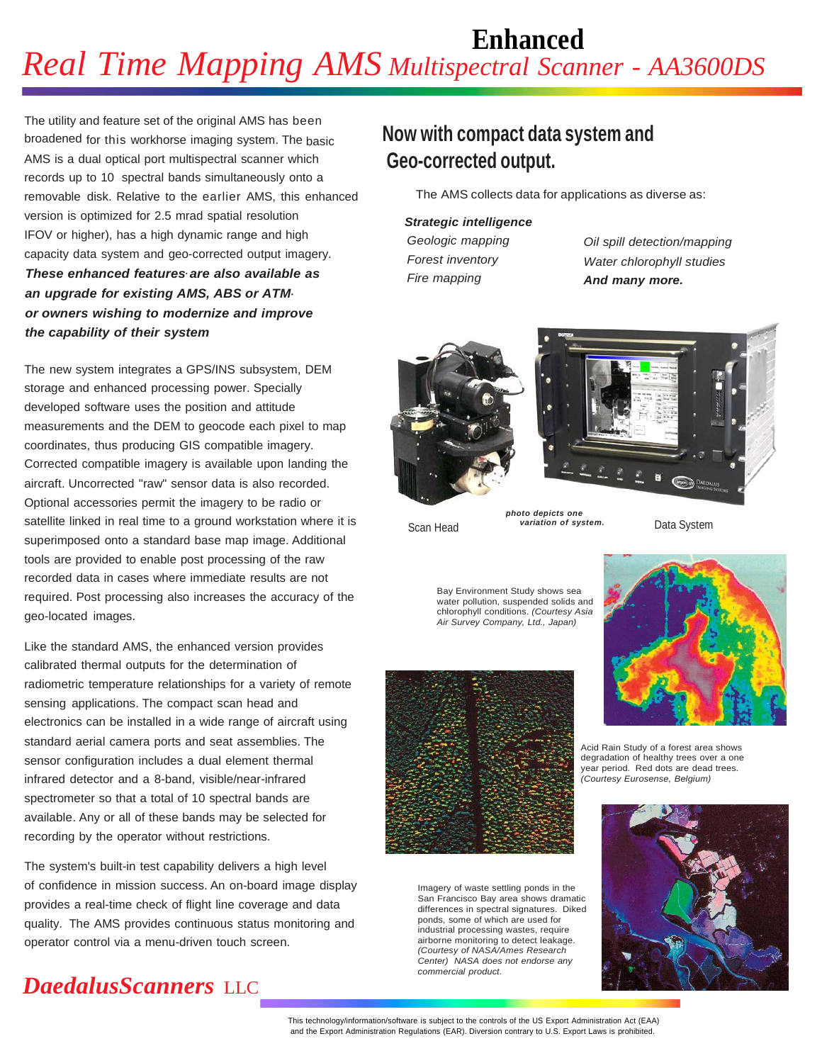# **Enhanced** *Real Time Mapping AMS Multispectral Scanner - AA3600DS*

The utility and feature set of the original AMS has been broadened for this workhorse imaging system. The basic AMS is a dual optical port multispectral scanner which records up to 10 spectral bands simultaneously onto a removable disk. Relative to the earlier AMS, this enhanced version is optimized for 2.5 mrad spatial resolution IFOV or higher), has a high dynamic range and high capacity data system and geo-corrected output imagery. *These enhanced features are also available as . an upgrade for existing AMS, ABS or ATMor owners wishing to modernize and improve the capability of their system*

The new system integrates a GPS/INS subsystem, DEM storage and enhanced processing power. Specially developed software uses the position and attitude measurements and the DEM to geocode each pixel to map coordinates, thus producing GIS compatible imagery. Corrected compatible imagery is available upon landing the aircraft. Uncorrected "raw" sensor data is also recorded. Optional accessories permit the imagery to be radio or satellite linked in real time to a ground workstation where it is superimposed onto a standard base map image. Additional tools are provided to enable post processing of the raw recorded data in cases where immediate results are not required. Post processing also increases the accuracy of the geo-located images.

Like the standard AMS, the enhanced version provides calibrated thermal outputs for the determination of radiometric temperature relationships for a variety of remote sensing applications. The compact scan head and electronics can be installed in a wide range of aircraft using standard aerial camera ports and seat assemblies. The sensor configuration includes a dual element thermal infrared detector and a 8-band, visible/near-infrared spectrometer so that a total of 10 spectral bands are available. Any or all of these bands may be selected for recording by the operator without restrictions.

The system's built-in test capability delivers a high level of confidence in mission success. An on-board image display provides a real-time check of flight line coverage and data quality. The AMS provides continuous status monitoring and operator control via a menu-driven touch screen.

## **Now with compact data system and Geo-corrected output.**

The AMS collects data for applications as diverse as:

## *Strategic intelligence*

*Geologic mapping Forest inventory Fire mapping*

*Oil spill detection/mapping Water chlorophyll studies And many more.*





Scan Head variation of system. Data System

Bay Environment Study shows sea water pollution, suspended solids and chlorophyll conditions. *(Courtesy Asia Air Survey Company, Ltd., Japan)*

*photo depicts one variation of system.*



Imagery of waste settling ponds in the San Francisco Bay area shows dramatic differences in spectral signatures. Diked ponds, some of which are used for industrial processing wastes, require airborne monitoring to detect leakage. *(Courtesy of NASA/Ames Research Center) NASA does not endorse any commercial product.*



Acid Rain Study of a forest area shows degradation of healthy trees over a one year period. Red dots are dead trees. *(Courtesy Eurosense, Belgium)*



# *DaedalusScanners* LLC

This technology/information/software is subject to the controls of the US Export Administration Act (EAA) and the Export Administration Regulations (EAR). Diversion contrary to U.S. Export Laws is prohibited.